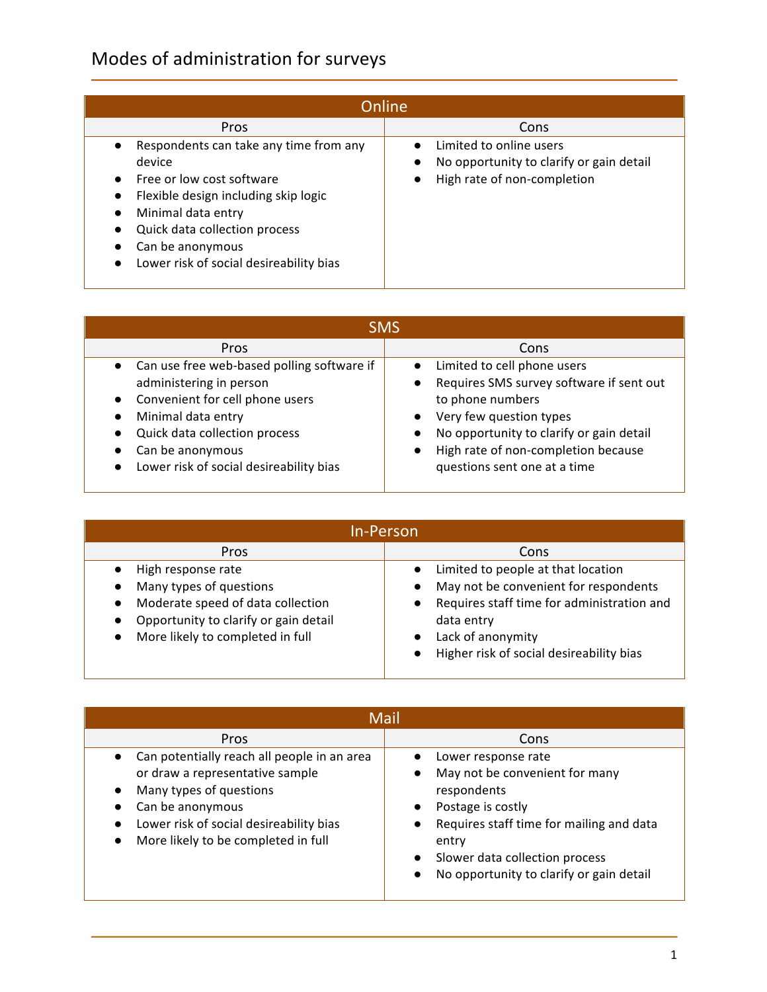## Modes of administration for surveys

| <b>Online</b>                                                                                                                                                                                                                               |                                                                                                                              |  |
|---------------------------------------------------------------------------------------------------------------------------------------------------------------------------------------------------------------------------------------------|------------------------------------------------------------------------------------------------------------------------------|--|
| Pros                                                                                                                                                                                                                                        | Cons                                                                                                                         |  |
| Respondents can take any time from any<br>device<br>Free or low cost software<br>Flexible design including skip logic<br>Minimal data entry<br>Quick data collection process<br>Can be anonymous<br>Lower risk of social desireability bias | Limited to online users<br>No opportunity to clarify or gain detail<br>$\bullet$<br>High rate of non-completion<br>$\bullet$ |  |

| <b>SMS</b>                                                                                                                                                                                                                                                 |                                                                                                                                                                                                                                                                                                            |  |
|------------------------------------------------------------------------------------------------------------------------------------------------------------------------------------------------------------------------------------------------------------|------------------------------------------------------------------------------------------------------------------------------------------------------------------------------------------------------------------------------------------------------------------------------------------------------------|--|
| Pros                                                                                                                                                                                                                                                       | Cons                                                                                                                                                                                                                                                                                                       |  |
| • Can use free web-based polling software if<br>administering in person<br>Convenient for cell phone users<br>$\bullet$<br>Minimal data entry<br>Quick data collection process<br>Can be anonymous<br>Lower risk of social desireability bias<br>$\bullet$ | Limited to cell phone users<br>$\bullet$<br>Requires SMS survey software if sent out<br>$\bullet$<br>to phone numbers<br>Very few question types<br>$\bullet$<br>No opportunity to clarify or gain detail<br>$\bullet$<br>High rate of non-completion because<br>$\bullet$<br>questions sent one at a time |  |

| <b>In-Person</b>                                                                                                                                                |                                                                                                                                                                                                          |  |
|-----------------------------------------------------------------------------------------------------------------------------------------------------------------|----------------------------------------------------------------------------------------------------------------------------------------------------------------------------------------------------------|--|
| <b>Pros</b>                                                                                                                                                     | Cons                                                                                                                                                                                                     |  |
| High response rate<br>Many types of questions<br>Moderate speed of data collection<br>Opportunity to clarify or gain detail<br>More likely to completed in full | Limited to people at that location<br>May not be convenient for respondents<br>Requires staff time for administration and<br>data entry<br>Lack of anonymity<br>Higher risk of social desireability bias |  |

| Mail                                                                                                                                                                                                                         |                                                                                                                                                                                                                                                        |  |
|------------------------------------------------------------------------------------------------------------------------------------------------------------------------------------------------------------------------------|--------------------------------------------------------------------------------------------------------------------------------------------------------------------------------------------------------------------------------------------------------|--|
| Pros                                                                                                                                                                                                                         | Cons                                                                                                                                                                                                                                                   |  |
| Can potentially reach all people in an area<br>$\bullet$<br>or draw a representative sample<br>Many types of questions<br>Can be anonymous<br>Lower risk of social desireability bias<br>More likely to be completed in full | Lower response rate<br>May not be convenient for many<br>respondents<br>Postage is costly<br>$\bullet$<br>Requires staff time for mailing and data<br>entry<br>Slower data collection process<br>No opportunity to clarify or gain detail<br>$\bullet$ |  |